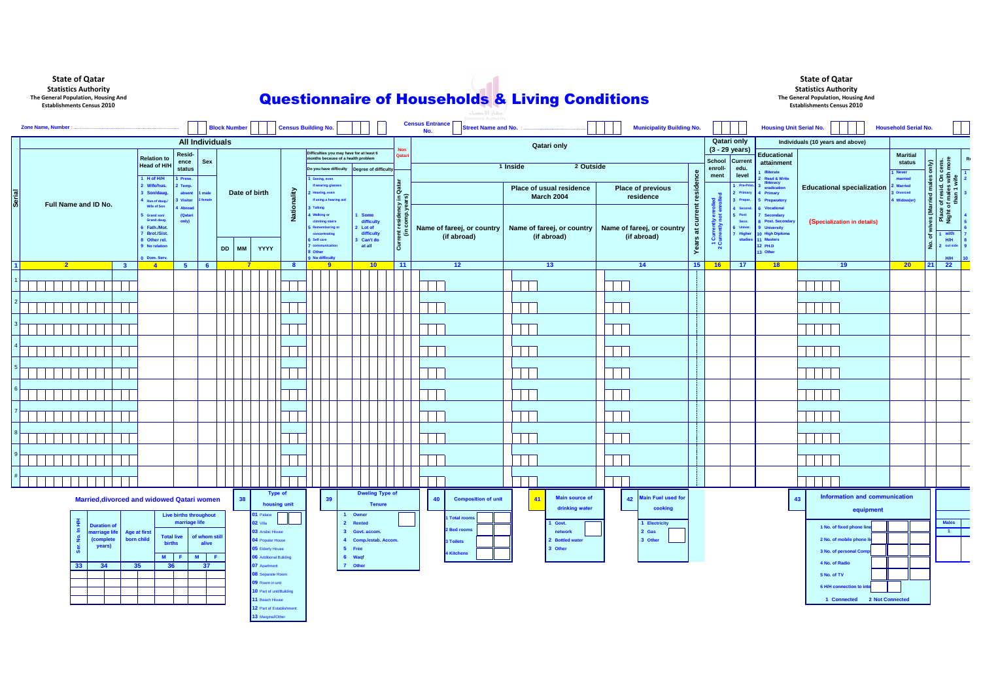**13** Marginal/Other

| <b>Census Building No.</b><br><b>Block Number</b><br><b>Zone Name, Number</b> |                                                   |                                             |                                 |                  |         |                 |                                             |             | tatistics Authority<br><b>Census Entrance</b><br><b>Municipality Building No.</b><br><b>Street Name and No.</b><br>No. |                   |                                         |               |                        |                    | <b>Housing Unit Serial No.</b>   |          |                                                                                                     |                                       |           | <b>Household Serial No.</b> |                                    |                                                             |    |                          |                                   |                                  |                                                                 |    |
|-------------------------------------------------------------------------------|---------------------------------------------------|---------------------------------------------|---------------------------------|------------------|---------|-----------------|---------------------------------------------|-------------|------------------------------------------------------------------------------------------------------------------------|-------------------|-----------------------------------------|---------------|------------------------|--------------------|----------------------------------|----------|-----------------------------------------------------------------------------------------------------|---------------------------------------|-----------|-----------------------------|------------------------------------|-------------------------------------------------------------|----|--------------------------|-----------------------------------|----------------------------------|-----------------------------------------------------------------|----|
| <b>All Individuals</b>                                                        |                                                   |                                             |                                 |                  |         |                 | <b>Qatari only</b>                          |             |                                                                                                                        |                   |                                         |               |                        | <b>Qatari only</b> | Individuals (10 years and above) |          |                                                                                                     |                                       |           |                             |                                    |                                                             |    |                          |                                   |                                  |                                                                 |    |
|                                                                               |                                                   | <b>Relation to</b>                          | Resid-<br>Sex<br>ence<br>status |                  |         |                 |                                             |             | Difficulties you may have for at least 6<br>months because of a health problem                                         |                   |                                         |               | Nor<br>Qatari          |                    |                                  |          |                                                                                                     |                                       |           |                             | $(3 - 29$ years)<br>School Current | Educational                                                 |    |                          |                                   | <b>Maritial</b>                  |                                                                 | R( |
|                                                                               |                                                   | Head of H/H                                 |                                 |                  |         |                 |                                             |             | Do you have difficulty   Degree of difficulty                                                                          |                   |                                         |               |                        |                    |                                  | 1 Inside | 2 Outside                                                                                           |                                       |           | enroll-                     | edu.                               | attainment<br><b>Illiterate</b>                             |    |                          |                                   | status<br>1 Never                | cens.<br>I more<br>- 2                                          |    |
| <b>Serial</b>                                                                 |                                                   | 1 H of H/H<br>2 Wife/hus.                   | Prese.<br>Temp.                 |                  |         |                 |                                             |             | 1 Seeing, even                                                                                                         |                   |                                         |               |                        |                    |                                  |          |                                                                                                     |                                       | residence | ment                        | level<br>1 Pre-Pri                 | <b>Read &amp; Write</b><br><b>Illiteracy</b><br>eradication |    |                          |                                   | married<br>Married               | $\delta$                                                        |    |
|                                                                               |                                                   | 3 Son/daug.<br>absent                       |                                 | male<br>emale    |         | Date of birth   |                                             |             | if wearing glasses<br><b>Hearing, even</b><br>if using a hearing aid                                                   |                   |                                         |               | Ιõ                     |                    |                                  |          | Place of usual residence<br><b>March 2004</b>                                                       | <b>Place of previous</b><br>residence |           |                             | 2 Primary                          | 4 Primary<br>Preparatory                                    |    |                          | <b>Educational specialization</b> | <b>B</b> Divorced<br>4 Widow(er) | wives (Married males<br>়ু⊡<br>e of resid<br>of males<br>than 1 |    |
|                                                                               | Full Name and ID No.                              | 4 Hus.of daug.<br><b>Wife of Son</b>        | <b>Visitor</b><br><b>Abroad</b> |                  |         |                 |                                             | Nationality | <b>Talking</b>                                                                                                         |                   |                                         |               | icy in                 |                    |                                  |          |                                                                                                     |                                       |           |                             | 3 Prepa<br><b>Secon</b>            | <b>Vocational</b>                                           |    |                          |                                   |                                  |                                                                 |    |
|                                                                               |                                                   | 5 Grand son/<br><b>Grand daug.</b>          | (Qatari<br>only)                |                  |         |                 |                                             |             | <b>Walking or</b><br>climbing stairs                                                                                   |                   | 1 Some<br>difficulty                    |               | xidene<br>Tempia       |                    |                                  |          |                                                                                                     |                                       | current   |                             | 5 Post<br>Seco.                    | <b>Secondary</b><br><b>B</b> Post. Secondar                 |    |                          | (Specialization in details)       |                                  | Place<br>Night                                                  |    |
|                                                                               |                                                   | 6 Fath./Mot.<br>7 Brot./Sist.               |                                 |                  |         |                 |                                             |             | <b>Remembering or</b><br>concentrating                                                                                 |                   | 2 Lot of<br>difficulty                  |               | urrent resi<br>(in cor |                    | (if abroad)                      |          | Name of fareej, or country   Name of fareej, or country   Name of fareej, or country<br>(if abroad) | (if abroad)                           | $\vec{a}$ | Curre<br>Lurrent            | <b>Univer</b><br>Highe             | <b>J</b> University<br>0 High Diploma                       |    |                          |                                   |                                  | with<br>$ \dot{\sigma} $                                        |    |
|                                                                               |                                                   | 8 Other rel.<br>9 No relation               |                                 |                  | DD   MM | YYYY            |                                             |             | 6 Self care<br>7 communicatio                                                                                          |                   | 3 Can't do<br>at all                    |               | ت ا                    |                    |                                  |          |                                                                                                     |                                       | Years     | $-0$<br>്                   | <b>studie</b>                      | <b>Masters</b><br>12 PH.D                                   |    |                          |                                   |                                  | H/H<br>$\frac{1}{2}$<br>2 out side                              |    |
|                                                                               |                                                   | 0 Dom. Serv.                                |                                 |                  |         |                 |                                             |             | 8 Other<br>9 No difficulty                                                                                             |                   |                                         |               |                        |                    |                                  |          |                                                                                                     |                                       |           |                             |                                    | 13 Other                                                    |    |                          |                                   |                                  | <b>H/H</b>                                                      |    |
| $\overline{1}$                                                                | $\mathbf{2}$<br>$\mathbf{3}$                      | $\sqrt{4}$                                  | $-5$                            | 6                |         |                 |                                             | -8          | -9                                                                                                                     |                   | 10                                      |               | $-11$                  |                    | $\overline{12}$                  |          | 13                                                                                                  | 14                                    | 15        | 16                          | 17 <sup>2</sup>                    | 18                                                          |    |                          | 19                                | 20 <sub>2</sub>                  | $\overline{22}$<br> 21                                          |    |
|                                                                               |                                                   |                                             |                                 |                  |         |                 |                                             |             |                                                                                                                        |                   |                                         |               |                        |                    |                                  |          |                                                                                                     |                                       |           |                             |                                    |                                                             |    |                          |                                   |                                  |                                                                 |    |
|                                                                               |                                                   |                                             |                                 |                  |         |                 |                                             |             |                                                                                                                        |                   |                                         |               |                        |                    |                                  |          |                                                                                                     |                                       |           |                             |                                    |                                                             |    |                          |                                   |                                  |                                                                 |    |
|                                                                               |                                                   |                                             |                                 |                  |         |                 |                                             |             |                                                                                                                        |                   |                                         |               |                        |                    |                                  |          |                                                                                                     |                                       |           |                             |                                    |                                                             |    |                          |                                   |                                  |                                                                 |    |
|                                                                               |                                                   |                                             |                                 |                  |         |                 |                                             |             |                                                                                                                        |                   |                                         |               |                        |                    |                                  |          |                                                                                                     |                                       |           |                             |                                    |                                                             |    |                          |                                   |                                  |                                                                 |    |
|                                                                               |                                                   |                                             |                                 |                  |         |                 |                                             |             |                                                                                                                        |                   |                                         |               |                        |                    |                                  |          |                                                                                                     |                                       |           |                             |                                    |                                                             |    |                          |                                   |                                  |                                                                 |    |
|                                                                               |                                                   |                                             |                                 |                  |         |                 |                                             |             |                                                                                                                        |                   |                                         |               |                        |                    |                                  |          |                                                                                                     |                                       |           |                             |                                    |                                                             |    |                          |                                   |                                  |                                                                 |    |
|                                                                               |                                                   |                                             |                                 |                  |         |                 |                                             |             |                                                                                                                        |                   |                                         |               |                        |                    |                                  |          |                                                                                                     |                                       |           |                             |                                    |                                                             |    |                          |                                   |                                  |                                                                 |    |
|                                                                               |                                                   |                                             |                                 |                  |         |                 |                                             |             |                                                                                                                        |                   |                                         |               |                        |                    |                                  |          |                                                                                                     |                                       |           |                             |                                    |                                                             |    |                          |                                   |                                  |                                                                 |    |
|                                                                               |                                                   |                                             |                                 |                  |         |                 |                                             |             |                                                                                                                        |                   |                                         |               |                        |                    |                                  |          |                                                                                                     |                                       |           |                             |                                    |                                                             |    |                          |                                   |                                  |                                                                 |    |
|                                                                               |                                                   |                                             |                                 |                  |         |                 |                                             |             |                                                                                                                        |                   |                                         |               |                        |                    |                                  |          |                                                                                                     |                                       |           |                             |                                    |                                                             |    |                          |                                   |                                  |                                                                 |    |
|                                                                               |                                                   |                                             |                                 |                  |         |                 |                                             |             |                                                                                                                        |                   |                                         |               |                        |                    |                                  |          |                                                                                                     |                                       |           |                             |                                    |                                                             |    |                          |                                   |                                  |                                                                 |    |
|                                                                               |                                                   |                                             |                                 |                  |         |                 |                                             |             |                                                                                                                        |                   |                                         |               |                        |                    |                                  |          |                                                                                                     |                                       |           |                             |                                    |                                                             |    |                          |                                   |                                  |                                                                 |    |
|                                                                               |                                                   |                                             |                                 |                  |         |                 |                                             |             |                                                                                                                        |                   |                                         |               |                        |                    |                                  |          |                                                                                                     |                                       |           |                             |                                    |                                                             |    |                          |                                   |                                  |                                                                 |    |
|                                                                               |                                                   |                                             |                                 |                  |         |                 |                                             |             |                                                                                                                        |                   |                                         |               |                        |                    |                                  |          |                                                                                                     |                                       |           |                             |                                    |                                                             |    |                          |                                   |                                  |                                                                 |    |
|                                                                               |                                                   |                                             |                                 |                  |         |                 |                                             |             |                                                                                                                        |                   |                                         |               |                        |                    |                                  |          |                                                                                                     |                                       |           |                             |                                    |                                                             |    |                          |                                   |                                  |                                                                 |    |
|                                                                               |                                                   |                                             |                                 |                  |         |                 |                                             |             |                                                                                                                        |                   |                                         |               |                        |                    |                                  |          |                                                                                                     |                                       |           |                             |                                    |                                                             |    |                          |                                   |                                  |                                                                 |    |
|                                                                               |                                                   |                                             |                                 |                  |         |                 |                                             |             |                                                                                                                        |                   |                                         |               |                        |                    |                                  |          |                                                                                                     |                                       |           |                             |                                    |                                                             |    |                          |                                   |                                  |                                                                 |    |
|                                                                               | <b>Married, divorced and widowed Qatari women</b> |                                             |                                 |                  | 38      |                 | <b>Type of</b><br>housing unit              |             | 39 <sup>°</sup>                                                                                                        |                   | <b>Dweling Type of</b>                  | <b>Tenure</b> |                        | 40                 | <b>Composition of unit</b>       |          | <b>Main source of</b><br>41                                                                         | 42 Main Fuel used for                 |           |                             |                                    |                                                             | 43 |                          | Information and communication     |                                  |                                                                 |    |
|                                                                               |                                                   |                                             | <b>Live births throughout</b>   |                  |         | 01 Palace       |                                             |             |                                                                                                                        |                   | 1 Owner                                 |               |                        |                    | <b>Total room</b>                |          | drinking water                                                                                      | cooking                               |           |                             |                                    |                                                             |    |                          | equipment                         |                                  |                                                                 |    |
|                                                                               | <b>Duration of</b>                                |                                             | marriage life                   |                  |         | <b>02 Villa</b> |                                             |             |                                                                                                                        |                   | 2 Rented                                |               |                        |                    | 2 Bed rooms                      |          | 1 Govt.                                                                                             | 1 Electricity                         |           |                             |                                    |                                                             |    | 1 No. of fixed phone lir |                                   |                                  | <b>Males</b>                                                    |    |
|                                                                               | narriage life<br>(complete                        | Age at first<br>born child<br><b>births</b> | <b>Total live</b>               | of whom still    |         |                 | <b>03</b> Arabic House<br>04 Popular House  |             |                                                                                                                        |                   | 3 Govt. accom.<br>4 Comp./estab. Accom. |               |                        |                    | 3 Toilets                        |          | network<br>2 Bottled water                                                                          | 2 Gas<br>3 Other                      |           |                             |                                    |                                                             |    |                          | 2 No. of mobile phone lin         |                                  | $\blacksquare$                                                  |    |
|                                                                               | years)                                            |                                             |                                 | alive            |         |                 | <b>05 Elderly House</b>                     |             |                                                                                                                        | 5 Free            |                                         |               |                        |                    | 4 Kitchens                       |          | 3 Other                                                                                             |                                       |           |                             |                                    |                                                             |    | 3 No. of personal Com    |                                   |                                  |                                                                 |    |
|                                                                               | 33 <sub>o</sub><br>34<br>35                       | M<br>36                                     | IF E                            | M<br>- F I<br>37 |         | 07 Apartment    | <b>06</b> Additional Building               |             |                                                                                                                        | 6 Waqf<br>7 Other |                                         |               |                        |                    |                                  |          |                                                                                                     |                                       |           |                             |                                    |                                                             |    | 4 No. of Radio           |                                   |                                  |                                                                 |    |
|                                                                               |                                                   |                                             |                                 |                  |         |                 | 08 Separate Room                            |             |                                                                                                                        |                   |                                         |               |                        |                    |                                  |          |                                                                                                     |                                       |           |                             |                                    |                                                             |    | 5 No. of TV              |                                   |                                  |                                                                 |    |
|                                                                               |                                                   |                                             |                                 |                  |         |                 | 09 Room in unit<br>10 Part of unit/Building |             |                                                                                                                        |                   |                                         |               |                        |                    |                                  |          |                                                                                                     |                                       |           |                             |                                    |                                                             |    | 6 H/H connection to int  |                                   |                                  |                                                                 |    |
|                                                                               |                                                   |                                             |                                 |                  |         |                 | 11 Beach House                              |             |                                                                                                                        |                   |                                         |               |                        |                    |                                  |          |                                                                                                     |                                       |           |                             |                                    |                                                             |    |                          | 1 Connected 2 Not Connected       |                                  |                                                                 |    |
|                                                                               |                                                   |                                             |                                 |                  |         |                 | 12 Part of Establishment                    |             |                                                                                                                        |                   |                                         |               |                        |                    |                                  |          |                                                                                                     |                                       |           |                             |                                    |                                                             |    |                          |                                   |                                  |                                                                 |    |

**State of Qatar Statistics Authority The General Population, Housing And Establishments Census 2010**

# **Questionnaire of Households & Living Conditions**

## **State of Qatar**

Statistics Authority<br>
The General Population, Housing And<br>
Establishments Census 2010